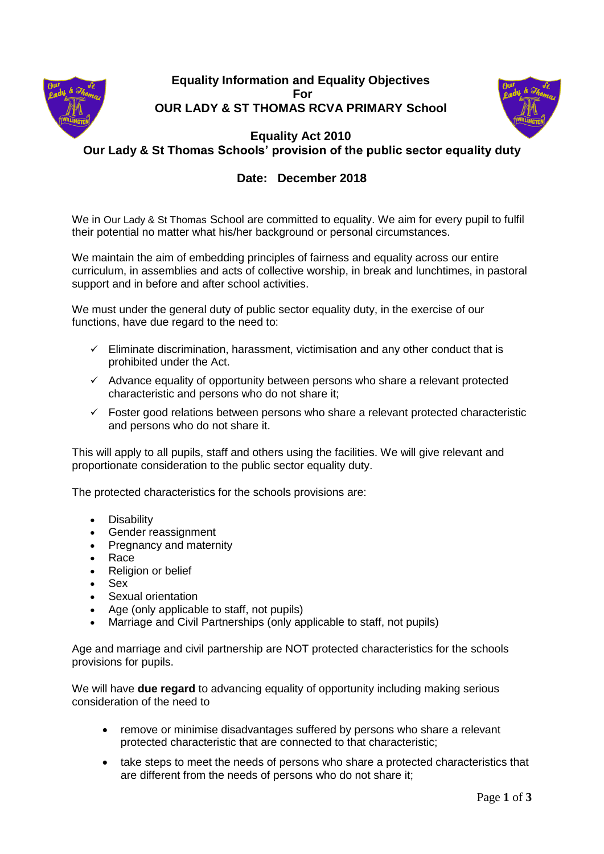

## **Equality Information and Equality Objectives For OUR LADY & ST THOMAS RCVA PRIMARY School**



**Equality Act 2010 Our Lady & St Thomas Schools' provision of the public sector equality duty**

# **Date: December 2018**

We in Our Lady & St Thomas School are committed to equality. We aim for every pupil to fulfil their potential no matter what his/her background or personal circumstances.

We maintain the aim of embedding principles of fairness and equality across our entire curriculum, in assemblies and acts of collective worship, in break and lunchtimes, in pastoral support and in before and after school activities.

We must under the general duty of public sector equality duty, in the exercise of our functions, have due regard to the need to:

- $\checkmark$  Eliminate discrimination, harassment, victimisation and any other conduct that is prohibited under the Act.
- $\checkmark$  Advance equality of opportunity between persons who share a relevant protected characteristic and persons who do not share it;
- $\checkmark$  Foster good relations between persons who share a relevant protected characteristic and persons who do not share it.

This will apply to all pupils, staff and others using the facilities. We will give relevant and proportionate consideration to the public sector equality duty.

The protected characteristics for the schools provisions are:

- Disability
- Gender reassignment
- Pregnancy and maternity
- Race
- Religion or belief
- Sex
- Sexual orientation
- Age (only applicable to staff, not pupils)
- Marriage and Civil Partnerships (only applicable to staff, not pupils)

Age and marriage and civil partnership are NOT protected characteristics for the schools provisions for pupils.

We will have **due regard** to advancing equality of opportunity including making serious consideration of the need to

- remove or minimise disadvantages suffered by persons who share a relevant protected characteristic that are connected to that characteristic;
- take steps to meet the needs of persons who share a protected characteristics that are different from the needs of persons who do not share it;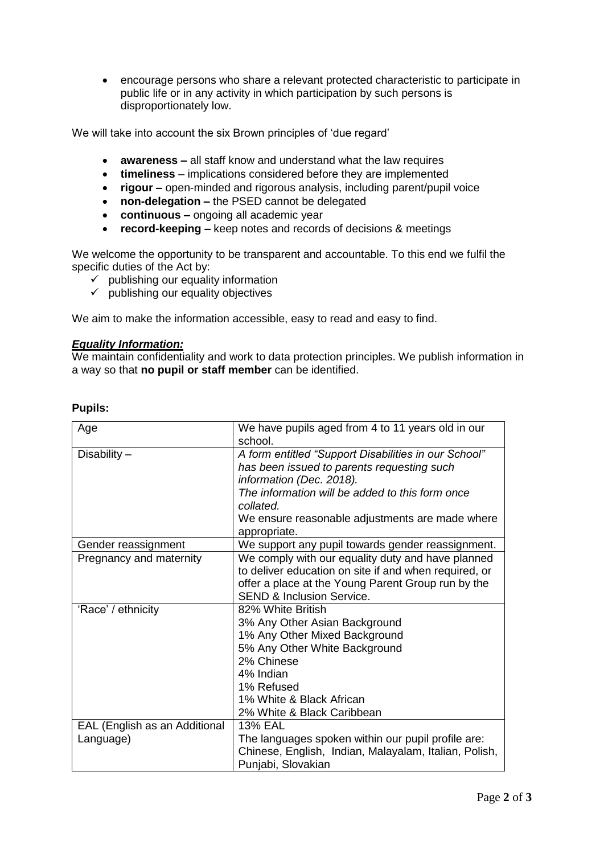encourage persons who share a relevant protected characteristic to participate in public life or in any activity in which participation by such persons is disproportionately low.

We will take into account the six Brown principles of 'due regard'

- **awareness –** all staff know and understand what the law requires
- **timeliness**  implications considered before they are implemented
- **rigour –** open-minded and rigorous analysis, including parent/pupil voice
- **non-delegation –** the PSED cannot be delegated
- **continuous –** ongoing all academic year
- **record-keeping –** keep notes and records of decisions & meetings

We welcome the opportunity to be transparent and accountable. To this end we fulfil the specific duties of the Act by:

- $\checkmark$  publishing our equality information
- $\checkmark$  publishing our equality objectives

We aim to make the information accessible, easy to read and easy to find.

#### *Equality Information:*

We maintain confidentiality and work to data protection principles. We publish information in a way so that **no pupil or staff member** can be identified.

| Age                           | We have pupils aged from 4 to 11 years old in our     |
|-------------------------------|-------------------------------------------------------|
|                               | school.                                               |
| Disability $-$                | A form entitled "Support Disabilities in our School"  |
|                               | has been issued to parents requesting such            |
|                               | information (Dec. 2018).                              |
|                               | The information will be added to this form once       |
|                               | collated.                                             |
|                               |                                                       |
|                               | We ensure reasonable adjustments are made where       |
|                               | appropriate.                                          |
| Gender reassignment           | We support any pupil towards gender reassignment.     |
| Pregnancy and maternity       | We comply with our equality duty and have planned     |
|                               | to deliver education on site if and when required, or |
|                               | offer a place at the Young Parent Group run by the    |
|                               | <b>SEND &amp; Inclusion Service.</b>                  |
| 'Race' / ethnicity            | 82% White British                                     |
|                               | 3% Any Other Asian Background                         |
|                               |                                                       |
|                               | 1% Any Other Mixed Background                         |
|                               | 5% Any Other White Background                         |
|                               | 2% Chinese                                            |
|                               | 4% Indian                                             |
|                               | 1% Refused                                            |
|                               | 1% White & Black African                              |
|                               | 2% White & Black Caribbean                            |
| EAL (English as an Additional | 13% EAL                                               |
| Language)                     | The languages spoken within our pupil profile are:    |
|                               | Chinese, English, Indian, Malayalam, Italian, Polish, |
|                               |                                                       |
|                               | Punjabi, Slovakian                                    |

## **Pupils:**